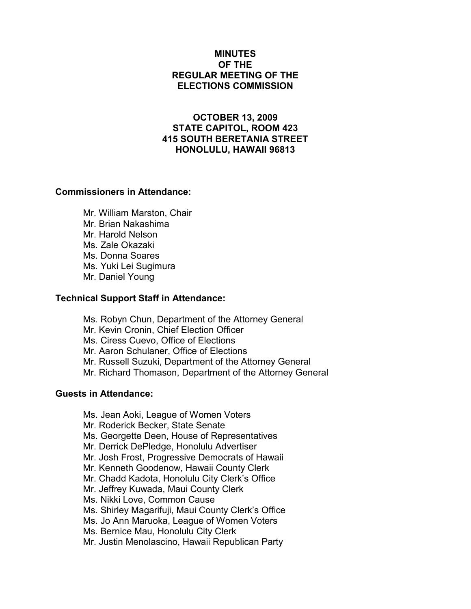## MINUTES OF THE REGULAR MEETING OF THE ELECTIONS COMMISSION

# OCTOBER 13, 2009 STATE CAPITOL, ROOM 423 415 SOUTH BERETANIA STREET HONOLULU, HAWAII 96813

### Commissioners in Attendance:

 Mr. William Marston, Chair Mr. Brian Nakashima Mr. Harold Nelson Ms. Zale Okazaki Ms. Donna Soares Ms. Yuki Lei Sugimura Mr. Daniel Young

### Technical Support Staff in Attendance:

Ms. Robyn Chun, Department of the Attorney General Mr. Kevin Cronin, Chief Election Officer Ms. Ciress Cuevo, Office of Elections Mr. Aaron Schulaner, Office of Elections Mr. Russell Suzuki, Department of the Attorney General Mr. Richard Thomason, Department of the Attorney General

# Guests in Attendance:

Ms. Jean Aoki, League of Women Voters Mr. Roderick Becker, State Senate Ms. Georgette Deen, House of Representatives Mr. Derrick DePledge, Honolulu Advertiser Mr. Josh Frost, Progressive Democrats of Hawaii Mr. Kenneth Goodenow, Hawaii County Clerk Mr. Chadd Kadota, Honolulu City Clerk's Office Mr. Jeffrey Kuwada, Maui County Clerk Ms. Nikki Love, Common Cause Ms. Shirley Magarifuji, Maui County Clerk's Office Ms. Jo Ann Maruoka, League of Women Voters Ms. Bernice Mau, Honolulu City Clerk Mr. Justin Menolascino, Hawaii Republican Party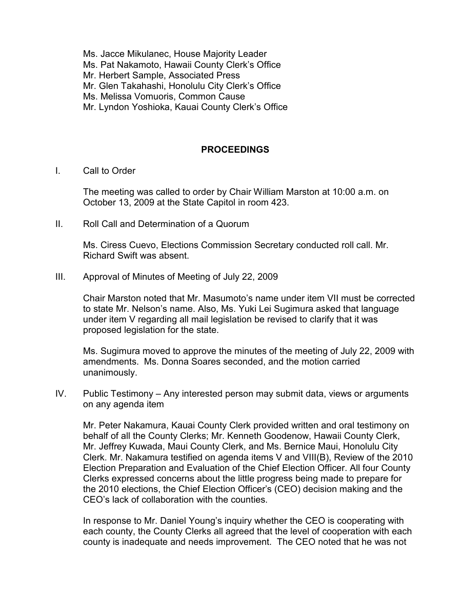- Ms. Jacce Mikulanec, House Majority Leader
- Ms. Pat Nakamoto, Hawaii County Clerk's Office
- Mr. Herbert Sample, Associated Press
- Mr. Glen Takahashi, Honolulu City Clerk's Office
- Ms. Melissa Vomuoris, Common Cause
- Mr. Lyndon Yoshioka, Kauai County Clerk's Office

# PROCEEDINGS

I. Call to Order

The meeting was called to order by Chair William Marston at 10:00 a.m. on October 13, 2009 at the State Capitol in room 423.

II. Roll Call and Determination of a Quorum

Ms. Ciress Cuevo, Elections Commission Secretary conducted roll call. Mr. Richard Swift was absent.

III. Approval of Minutes of Meeting of July 22, 2009

Chair Marston noted that Mr. Masumoto's name under item VII must be corrected to state Mr. Nelson's name. Also, Ms. Yuki Lei Sugimura asked that language under item V regarding all mail legislation be revised to clarify that it was proposed legislation for the state.

Ms. Sugimura moved to approve the minutes of the meeting of July 22, 2009 with amendments. Ms. Donna Soares seconded, and the motion carried unanimously.

IV. Public Testimony – Any interested person may submit data, views or arguments on any agenda item

Mr. Peter Nakamura, Kauai County Clerk provided written and oral testimony on behalf of all the County Clerks; Mr. Kenneth Goodenow, Hawaii County Clerk, Mr. Jeffrey Kuwada, Maui County Clerk, and Ms. Bernice Maui, Honolulu City Clerk. Mr. Nakamura testified on agenda items V and VIII(B), Review of the 2010 Election Preparation and Evaluation of the Chief Election Officer. All four County Clerks expressed concerns about the little progress being made to prepare for the 2010 elections, the Chief Election Officer's (CEO) decision making and the CEO's lack of collaboration with the counties.

In response to Mr. Daniel Young's inquiry whether the CEO is cooperating with each county, the County Clerks all agreed that the level of cooperation with each county is inadequate and needs improvement. The CEO noted that he was not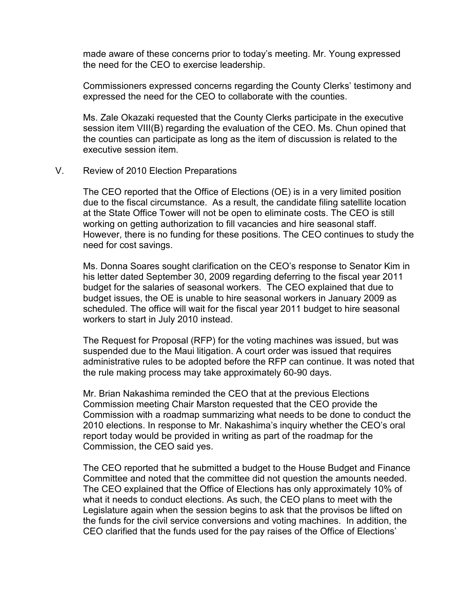made aware of these concerns prior to today's meeting. Mr. Young expressed the need for the CEO to exercise leadership.

Commissioners expressed concerns regarding the County Clerks' testimony and expressed the need for the CEO to collaborate with the counties.

Ms. Zale Okazaki requested that the County Clerks participate in the executive session item VIII(B) regarding the evaluation of the CEO. Ms. Chun opined that the counties can participate as long as the item of discussion is related to the executive session item.

#### V. Review of 2010 Election Preparations

The CEO reported that the Office of Elections (OE) is in a very limited position due to the fiscal circumstance. As a result, the candidate filing satellite location at the State Office Tower will not be open to eliminate costs. The CEO is still working on getting authorization to fill vacancies and hire seasonal staff. However, there is no funding for these positions. The CEO continues to study the need for cost savings.

Ms. Donna Soares sought clarification on the CEO's response to Senator Kim in his letter dated September 30, 2009 regarding deferring to the fiscal year 2011 budget for the salaries of seasonal workers. The CEO explained that due to budget issues, the OE is unable to hire seasonal workers in January 2009 as scheduled. The office will wait for the fiscal year 2011 budget to hire seasonal workers to start in July 2010 instead.

The Request for Proposal (RFP) for the voting machines was issued, but was suspended due to the Maui litigation. A court order was issued that requires administrative rules to be adopted before the RFP can continue. It was noted that the rule making process may take approximately 60-90 days.

Mr. Brian Nakashima reminded the CEO that at the previous Elections Commission meeting Chair Marston requested that the CEO provide the Commission with a roadmap summarizing what needs to be done to conduct the 2010 elections. In response to Mr. Nakashima's inquiry whether the CEO's oral report today would be provided in writing as part of the roadmap for the Commission, the CEO said yes.

The CEO reported that he submitted a budget to the House Budget and Finance Committee and noted that the committee did not question the amounts needed. The CEO explained that the Office of Elections has only approximately 10% of what it needs to conduct elections. As such, the CEO plans to meet with the Legislature again when the session begins to ask that the provisos be lifted on the funds for the civil service conversions and voting machines. In addition, the CEO clarified that the funds used for the pay raises of the Office of Elections'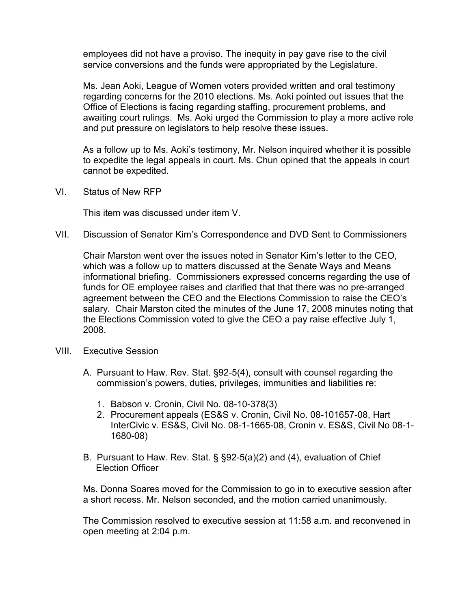employees did not have a proviso. The inequity in pay gave rise to the civil service conversions and the funds were appropriated by the Legislature.

Ms. Jean Aoki, League of Women voters provided written and oral testimony regarding concerns for the 2010 elections. Ms. Aoki pointed out issues that the Office of Elections is facing regarding staffing, procurement problems, and awaiting court rulings. Ms. Aoki urged the Commission to play a more active role and put pressure on legislators to help resolve these issues.

As a follow up to Ms. Aoki's testimony, Mr. Nelson inquired whether it is possible to expedite the legal appeals in court. Ms. Chun opined that the appeals in court cannot be expedited.

VI. Status of New RFP

This item was discussed under item V.

VII. Discussion of Senator Kim's Correspondence and DVD Sent to Commissioners

Chair Marston went over the issues noted in Senator Kim's letter to the CEO, which was a follow up to matters discussed at the Senate Ways and Means informational briefing. Commissioners expressed concerns regarding the use of funds for OE employee raises and clarified that that there was no pre-arranged agreement between the CEO and the Elections Commission to raise the CEO's salary. Chair Marston cited the minutes of the June 17, 2008 minutes noting that the Elections Commission voted to give the CEO a pay raise effective July 1, 2008.

- VIII. Executive Session
	- A. Pursuant to Haw. Rev. Stat. §92-5(4), consult with counsel regarding the commission's powers, duties, privileges, immunities and liabilities re:
		- 1. Babson v. Cronin, Civil No. 08-10-378(3)
		- 2. Procurement appeals (ES&S v. Cronin, Civil No. 08-101657-08, Hart InterCivic v. ES&S, Civil No. 08-1-1665-08, Cronin v. ES&S, Civil No 08-1- 1680-08)
	- B. Pursuant to Haw. Rev. Stat. § §92-5(a)(2) and (4), evaluation of Chief Election Officer

 Ms. Donna Soares moved for the Commission to go in to executive session after a short recess. Mr. Nelson seconded, and the motion carried unanimously.

 The Commission resolved to executive session at 11:58 a.m. and reconvened in open meeting at 2:04 p.m.